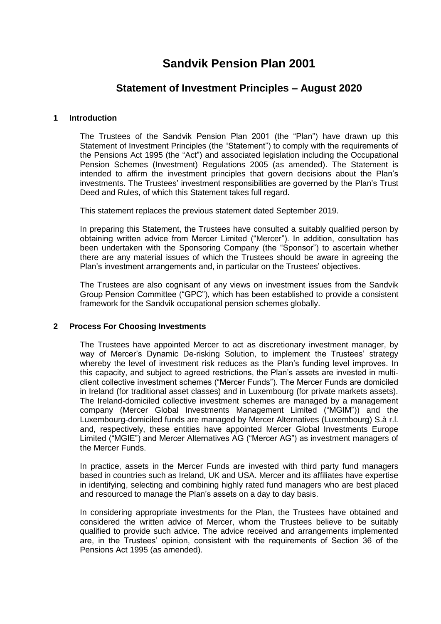# **Sandvik Pension Plan 2001**

# **Statement of Investment Principles – August 2020**

# **1 Introduction**

The Trustees of the Sandvik Pension Plan 2001 (the "Plan") have drawn up this Statement of Investment Principles (the "Statement") to comply with the requirements of the Pensions Act 1995 (the "Act") and associated legislation including the Occupational Pension Schemes (Investment) Regulations 2005 (as amended). The Statement is intended to affirm the investment principles that govern decisions about the Plan's investments. The Trustees' investment responsibilities are governed by the Plan's Trust Deed and Rules, of which this Statement takes full regard.

This statement replaces the previous statement dated September 2019.

In preparing this Statement, the Trustees have consulted a suitably qualified person by obtaining written advice from Mercer Limited ("Mercer"). In addition, consultation has been undertaken with the Sponsoring Company (the "Sponsor") to ascertain whether there are any material issues of which the Trustees should be aware in agreeing the Plan's investment arrangements and, in particular on the Trustees' objectives.

The Trustees are also cognisant of any views on investment issues from the Sandvik Group Pension Committee ("GPC"), which has been established to provide a consistent framework for the Sandvik occupational pension schemes globally.

# **2 Process For Choosing Investments**

The Trustees have appointed Mercer to act as discretionary investment manager, by way of Mercer's Dynamic De-risking Solution, to implement the Trustees' strategy whereby the level of investment risk reduces as the Plan's funding level improves. In this capacity, and subject to agreed restrictions, the Plan's assets are invested in multiclient collective investment schemes ("Mercer Funds"). The Mercer Funds are domiciled in Ireland (for traditional asset classes) and in Luxembourg (for private markets assets). The Ireland-domiciled collective investment schemes are managed by a management company (Mercer Global Investments Management Limited ("MGIM")) and the Luxembourg-domiciled funds are managed by Mercer Alternatives (Luxembourg) S.à r.l. and, respectively, these entities have appointed Mercer Global Investments Europe Limited ("MGIE") and Mercer Alternatives AG ("Mercer AG") as investment managers of the Mercer Funds.

In practice, assets in the Mercer Funds are invested with third party fund managers based in countries such as Ireland, UK and USA. Mercer and its affiliates have expertise in identifying, selecting and combining highly rated fund managers who are best placed and resourced to manage the Plan's assets on a day to day basis.

In considering appropriate investments for the Plan, the Trustees have obtained and considered the written advice of Mercer, whom the Trustees believe to be suitably qualified to provide such advice. The advice received and arrangements implemented are, in the Trustees' opinion, consistent with the requirements of Section 36 of the Pensions Act 1995 (as amended).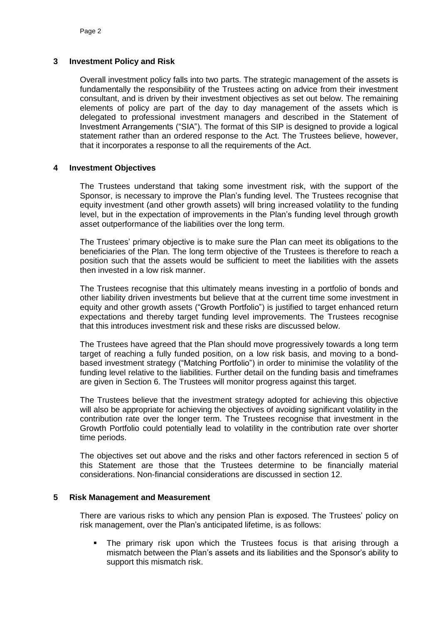#### **3 Investment Policy and Risk**

Overall investment policy falls into two parts. The strategic management of the assets is fundamentally the responsibility of the Trustees acting on advice from their investment consultant, and is driven by their investment objectives as set out below. The remaining elements of policy are part of the day to day management of the assets which is delegated to professional investment managers and described in the Statement of Investment Arrangements ("SIA"). The format of this SIP is designed to provide a logical statement rather than an ordered response to the Act. The Trustees believe, however, that it incorporates a response to all the requirements of the Act.

#### **4 Investment Objectives**

The Trustees understand that taking some investment risk, with the support of the Sponsor, is necessary to improve the Plan's funding level. The Trustees recognise that equity investment (and other growth assets) will bring increased volatility to the funding level, but in the expectation of improvements in the Plan's funding level through growth asset outperformance of the liabilities over the long term.

The Trustees' primary objective is to make sure the Plan can meet its obligations to the beneficiaries of the Plan. The long term objective of the Trustees is therefore to reach a position such that the assets would be sufficient to meet the liabilities with the assets then invested in a low risk manner.

The Trustees recognise that this ultimately means investing in a portfolio of bonds and other liability driven investments but believe that at the current time some investment in equity and other growth assets ("Growth Portfolio") is justified to target enhanced return expectations and thereby target funding level improvements. The Trustees recognise that this introduces investment risk and these risks are discussed below.

The Trustees have agreed that the Plan should move progressively towards a long term target of reaching a fully funded position, on a low risk basis, and moving to a bondbased investment strategy ("Matching Portfolio") in order to minimise the volatility of the funding level relative to the liabilities. Further detail on the funding basis and timeframes are given in Section 6. The Trustees will monitor progress against this target.

The Trustees believe that the investment strategy adopted for achieving this objective will also be appropriate for achieving the objectives of avoiding significant volatility in the contribution rate over the longer term. The Trustees recognise that investment in the Growth Portfolio could potentially lead to volatility in the contribution rate over shorter time periods.

The objectives set out above and the risks and other factors referenced in section 5 of this Statement are those that the Trustees determine to be financially material considerations. Non-financial considerations are discussed in section 12.

#### **5 Risk Management and Measurement**

There are various risks to which any pension Plan is exposed. The Trustees' policy on risk management, over the Plan's anticipated lifetime, is as follows:

 The primary risk upon which the Trustees focus is that arising through a mismatch between the Plan's assets and its liabilities and the Sponsor's ability to support this mismatch risk.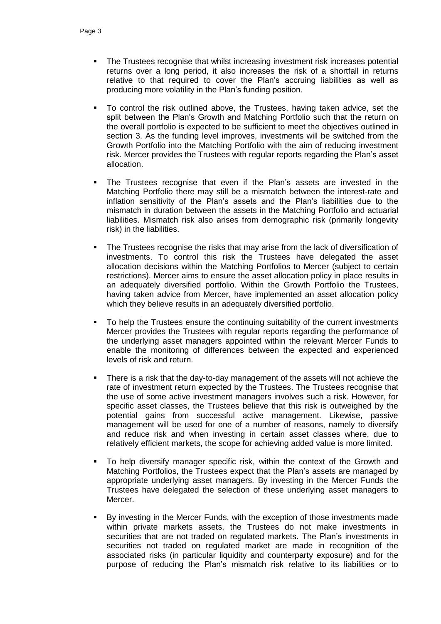- The Trustees recognise that whilst increasing investment risk increases potential returns over a long period, it also increases the risk of a shortfall in returns relative to that required to cover the Plan's accruing liabilities as well as producing more volatility in the Plan's funding position.
- To control the risk outlined above, the Trustees, having taken advice, set the split between the Plan's Growth and Matching Portfolio such that the return on the overall portfolio is expected to be sufficient to meet the objectives outlined in section 3. As the funding level improves, investments will be switched from the Growth Portfolio into the Matching Portfolio with the aim of reducing investment risk. Mercer provides the Trustees with regular reports regarding the Plan's asset allocation.
- The Trustees recognise that even if the Plan's assets are invested in the Matching Portfolio there may still be a mismatch between the interest-rate and inflation sensitivity of the Plan's assets and the Plan's liabilities due to the mismatch in duration between the assets in the Matching Portfolio and actuarial liabilities. Mismatch risk also arises from demographic risk (primarily longevity risk) in the liabilities.
- The Trustees recognise the risks that may arise from the lack of diversification of investments. To control this risk the Trustees have delegated the asset allocation decisions within the Matching Portfolios to Mercer (subject to certain restrictions). Mercer aims to ensure the asset allocation policy in place results in an adequately diversified portfolio. Within the Growth Portfolio the Trustees, having taken advice from Mercer, have implemented an asset allocation policy which they believe results in an adequately diversified portfolio.
- To help the Trustees ensure the continuing suitability of the current investments Mercer provides the Trustees with regular reports regarding the performance of the underlying asset managers appointed within the relevant Mercer Funds to enable the monitoring of differences between the expected and experienced levels of risk and return.
- There is a risk that the day-to-day management of the assets will not achieve the rate of investment return expected by the Trustees. The Trustees recognise that the use of some active investment managers involves such a risk. However, for specific asset classes, the Trustees believe that this risk is outweighed by the potential gains from successful active management. Likewise, passive management will be used for one of a number of reasons, namely to diversify and reduce risk and when investing in certain asset classes where, due to relatively efficient markets, the scope for achieving added value is more limited.
- To help diversify manager specific risk, within the context of the Growth and Matching Portfolios, the Trustees expect that the Plan's assets are managed by appropriate underlying asset managers. By investing in the Mercer Funds the Trustees have delegated the selection of these underlying asset managers to Mercer.
- By investing in the Mercer Funds, with the exception of those investments made within private markets assets, the Trustees do not make investments in securities that are not traded on regulated markets. The Plan's investments in securities not traded on regulated market are made in recognition of the associated risks (in particular liquidity and counterparty exposure) and for the purpose of reducing the Plan's mismatch risk relative to its liabilities or to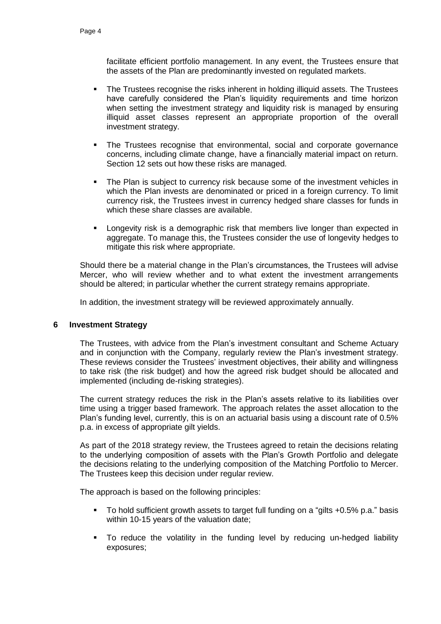facilitate efficient portfolio management. In any event, the Trustees ensure that the assets of the Plan are predominantly invested on regulated markets.

- The Trustees recognise the risks inherent in holding illiquid assets. The Trustees have carefully considered the Plan's liquidity requirements and time horizon when setting the investment strategy and liquidity risk is managed by ensuring illiquid asset classes represent an appropriate proportion of the overall investment strategy.
- The Trustees recognise that environmental, social and corporate governance concerns, including climate change, have a financially material impact on return. Section 12 sets out how these risks are managed.
- The Plan is subject to currency risk because some of the investment vehicles in which the Plan invests are denominated or priced in a foreign currency. To limit currency risk, the Trustees invest in currency hedged share classes for funds in which these share classes are available.
- Longevity risk is a demographic risk that members live longer than expected in aggregate. To manage this, the Trustees consider the use of longevity hedges to mitigate this risk where appropriate.

Should there be a material change in the Plan's circumstances, the Trustees will advise Mercer, who will review whether and to what extent the investment arrangements should be altered; in particular whether the current strategy remains appropriate.

In addition, the investment strategy will be reviewed approximately annually.

#### **6 Investment Strategy**

The Trustees, with advice from the Plan's investment consultant and Scheme Actuary and in conjunction with the Company, regularly review the Plan's investment strategy. These reviews consider the Trustees' investment objectives, their ability and willingness to take risk (the risk budget) and how the agreed risk budget should be allocated and implemented (including de-risking strategies).

The current strategy reduces the risk in the Plan's assets relative to its liabilities over time using a trigger based framework. The approach relates the asset allocation to the Plan's funding level, currently, this is on an actuarial basis using a discount rate of 0.5% p.a. in excess of appropriate gilt yields.

As part of the 2018 strategy review, the Trustees agreed to retain the decisions relating to the underlying composition of assets with the Plan's Growth Portfolio and delegate the decisions relating to the underlying composition of the Matching Portfolio to Mercer. The Trustees keep this decision under regular review.

The approach is based on the following principles:

- To hold sufficient growth assets to target full funding on a "gilts +0.5% p.a." basis within 10-15 years of the valuation date;
- To reduce the volatility in the funding level by reducing un-hedged liability exposures;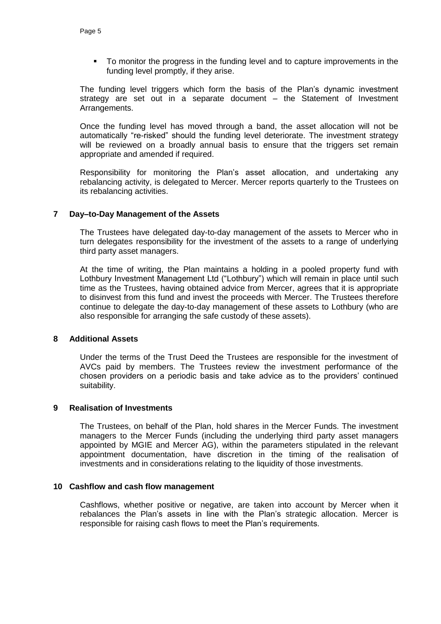To monitor the progress in the funding level and to capture improvements in the funding level promptly, if they arise.

The funding level triggers which form the basis of the Plan's dynamic investment strategy are set out in a separate document – the Statement of Investment Arrangements.

Once the funding level has moved through a band, the asset allocation will not be automatically "re-risked" should the funding level deteriorate. The investment strategy will be reviewed on a broadly annual basis to ensure that the triggers set remain appropriate and amended if required.

Responsibility for monitoring the Plan's asset allocation, and undertaking any rebalancing activity, is delegated to Mercer. Mercer reports quarterly to the Trustees on its rebalancing activities.

# **7 Day–to-Day Management of the Assets**

The Trustees have delegated day-to-day management of the assets to Mercer who in turn delegates responsibility for the investment of the assets to a range of underlying third party asset managers.

At the time of writing, the Plan maintains a holding in a pooled property fund with Lothbury Investment Management Ltd ("Lothbury") which will remain in place until such time as the Trustees, having obtained advice from Mercer, agrees that it is appropriate to disinvest from this fund and invest the proceeds with Mercer. The Trustees therefore continue to delegate the day-to-day management of these assets to Lothbury (who are also responsible for arranging the safe custody of these assets).

#### **8 Additional Assets**

Under the terms of the Trust Deed the Trustees are responsible for the investment of AVCs paid by members. The Trustees review the investment performance of the chosen providers on a periodic basis and take advice as to the providers' continued suitability.

#### **9 Realisation of Investments**

The Trustees, on behalf of the Plan, hold shares in the Mercer Funds. The investment managers to the Mercer Funds (including the underlying third party asset managers appointed by MGIE and Mercer AG), within the parameters stipulated in the relevant appointment documentation, have discretion in the timing of the realisation of investments and in considerations relating to the liquidity of those investments.

#### **10 Cashflow and cash flow management**

Cashflows, whether positive or negative, are taken into account by Mercer when it rebalances the Plan's assets in line with the Plan's strategic allocation. Mercer is responsible for raising cash flows to meet the Plan's requirements.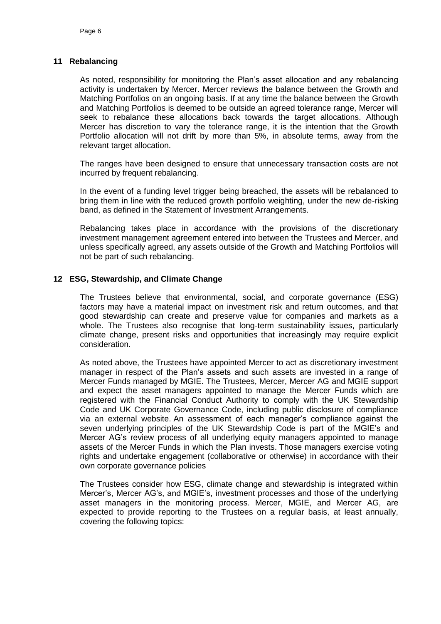#### **11 Rebalancing**

As noted, responsibility for monitoring the Plan's asset allocation and any rebalancing activity is undertaken by Mercer. Mercer reviews the balance between the Growth and Matching Portfolios on an ongoing basis. If at any time the balance between the Growth and Matching Portfolios is deemed to be outside an agreed tolerance range, Mercer will seek to rebalance these allocations back towards the target allocations. Although Mercer has discretion to vary the tolerance range, it is the intention that the Growth Portfolio allocation will not drift by more than 5%, in absolute terms, away from the relevant target allocation.

The ranges have been designed to ensure that unnecessary transaction costs are not incurred by frequent rebalancing.

In the event of a funding level trigger being breached, the assets will be rebalanced to bring them in line with the reduced growth portfolio weighting, under the new de-risking band, as defined in the Statement of Investment Arrangements.

Rebalancing takes place in accordance with the provisions of the discretionary investment management agreement entered into between the Trustees and Mercer, and unless specifically agreed, any assets outside of the Growth and Matching Portfolios will not be part of such rebalancing.

# **12 ESG, Stewardship, and Climate Change**

The Trustees believe that environmental, social, and corporate governance (ESG) factors may have a material impact on investment risk and return outcomes, and that good stewardship can create and preserve value for companies and markets as a whole. The Trustees also recognise that long-term sustainability issues, particularly climate change, present risks and opportunities that increasingly may require explicit consideration.

As noted above, the Trustees have appointed Mercer to act as discretionary investment manager in respect of the Plan's assets and such assets are invested in a range of Mercer Funds managed by MGIE. The Trustees, Mercer, Mercer AG and MGIE support and expect the asset managers appointed to manage the Mercer Funds which are registered with the Financial Conduct Authority to comply with the UK Stewardship Code and UK Corporate Governance Code, including public disclosure of compliance via an external website. An assessment of each manager's compliance against the seven underlying principles of the UK Stewardship Code is part of the MGIE's and Mercer AG's review process of all underlying equity managers appointed to manage assets of the Mercer Funds in which the Plan invests. Those managers exercise voting rights and undertake engagement (collaborative or otherwise) in accordance with their own corporate governance policies

The Trustees consider how ESG, climate change and stewardship is integrated within Mercer's, Mercer AG's, and MGIE's, investment processes and those of the underlying asset managers in the monitoring process. Mercer, MGIE, and Mercer AG, are expected to provide reporting to the Trustees on a regular basis, at least annually, covering the following topics: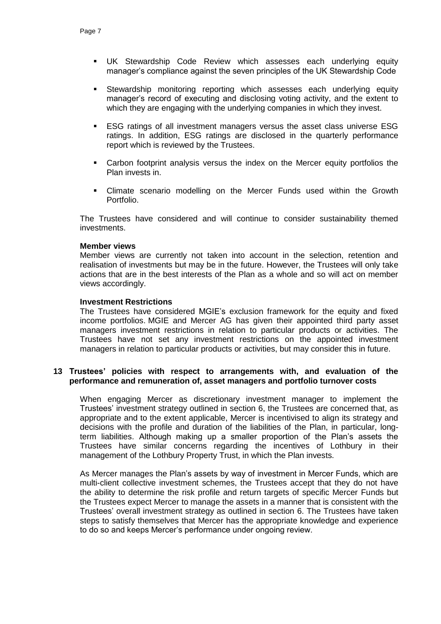- UK Stewardship Code Review which assesses each underlying equity manager's compliance against the seven principles of the UK Stewardship Code
- Stewardship monitoring reporting which assesses each underlying equity manager's record of executing and disclosing voting activity, and the extent to which they are engaging with the underlying companies in which they invest.
- ESG ratings of all investment managers versus the asset class universe ESG ratings. In addition, ESG ratings are disclosed in the quarterly performance report which is reviewed by the Trustees.
- Carbon footprint analysis versus the index on the Mercer equity portfolios the Plan invests in.
- Climate scenario modelling on the Mercer Funds used within the Growth Portfolio.

The Trustees have considered and will continue to consider sustainability themed investments.

#### **Member views**

Member views are currently not taken into account in the selection, retention and realisation of investments but may be in the future. However, the Trustees will only take actions that are in the best interests of the Plan as a whole and so will act on member views accordingly.

# **Investment Restrictions**

The Trustees have considered MGIE's exclusion framework for the equity and fixed income portfolios. MGIE and Mercer AG has given their appointed third party asset managers investment restrictions in relation to particular products or activities. The Trustees have not set any investment restrictions on the appointed investment managers in relation to particular products or activities, but may consider this in future.

# **13 Trustees' policies with respect to arrangements with, and evaluation of the performance and remuneration of, asset managers and portfolio turnover costs**

When engaging Mercer as discretionary investment manager to implement the Trustees' investment strategy outlined in section 6, the Trustees are concerned that, as appropriate and to the extent applicable, Mercer is incentivised to align its strategy and decisions with the profile and duration of the liabilities of the Plan, in particular, longterm liabilities. Although making up a smaller proportion of the Plan's assets the Trustees have similar concerns regarding the incentives of Lothbury in their management of the Lothbury Property Trust, in which the Plan invests.

As Mercer manages the Plan's assets by way of investment in Mercer Funds, which are multi-client collective investment schemes, the Trustees accept that they do not have the ability to determine the risk profile and return targets of specific Mercer Funds but the Trustees expect Mercer to manage the assets in a manner that is consistent with the Trustees' overall investment strategy as outlined in section 6. The Trustees have taken steps to satisfy themselves that Mercer has the appropriate knowledge and experience to do so and keeps Mercer's performance under ongoing review.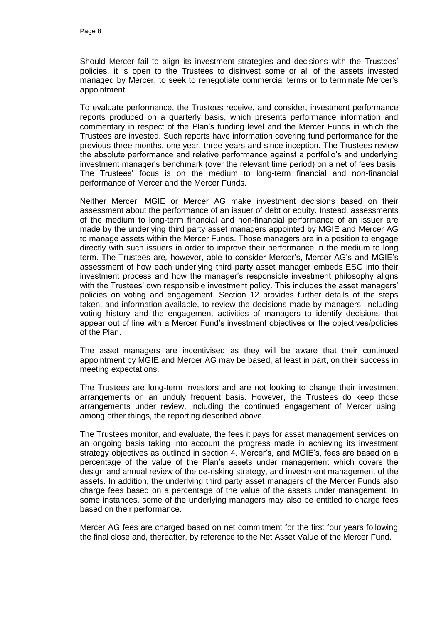Should Mercer fail to align its investment strategies and decisions with the Trustees' policies, it is open to the Trustees to disinvest some or all of the assets invested managed by Mercer, to seek to renegotiate commercial terms or to terminate Mercer's appointment.

To evaluate performance, the Trustees receive**,** and consider, investment performance reports produced on a quarterly basis, which presents performance information and commentary in respect of the Plan's funding level and the Mercer Funds in which the Trustees are invested. Such reports have information covering fund performance for the previous three months, one-year, three years and since inception. The Trustees review the absolute performance and relative performance against a portfolio's and underlying investment manager's benchmark (over the relevant time period) on a net of fees basis. The Trustees' focus is on the medium to long-term financial and non-financial performance of Mercer and the Mercer Funds.

Neither Mercer, MGIE or Mercer AG make investment decisions based on their assessment about the performance of an issuer of debt or equity. Instead, assessments of the medium to long-term financial and non-financial performance of an issuer are made by the underlying third party asset managers appointed by MGIE and Mercer AG to manage assets within the Mercer Funds. Those managers are in a position to engage directly with such issuers in order to improve their performance in the medium to long term. The Trustees are*,* however, able to consider Mercer's, Mercer AG's and MGIE's assessment of how each underlying third party asset manager embeds ESG into their investment process and how the manager's responsible investment philosophy aligns with the Trustees' own responsible investment policy. This includes the asset managers' policies on voting and engagement. Section 12 provides further details of the steps taken, and information available, to review the decisions made by managers, including voting history and the engagement activities of managers to identify decisions that appear out of line with a Mercer Fund's investment objectives or the objectives/policies of the Plan.

The asset managers are incentivised as they will be aware that their continued appointment by MGIE and Mercer AG may be based, at least in part, on their success in meeting expectations.

The Trustees are long-term investors and are not looking to change their investment arrangements on an unduly frequent basis. However, the Trustees do keep those arrangements under review, including the continued engagement of Mercer using, among other things, the reporting described above.

The Trustees monitor, and evaluate, the fees it pays for asset management services on an ongoing basis taking into account the progress made in achieving its investment strategy objectives as outlined in section 4. Mercer's, and MGIE's, fees are based on a percentage of the value of the Plan's assets under management which covers the design and annual review of the de-risking strategy, and investment management of the assets. In addition, the underlying third party asset managers of the Mercer Funds also charge fees based on a percentage of the value of the assets under management. In some instances, some of the underlying managers may also be entitled to charge fees based on their performance.

Mercer AG fees are charged based on net commitment for the first four years following the final close and, thereafter, by reference to the Net Asset Value of the Mercer Fund.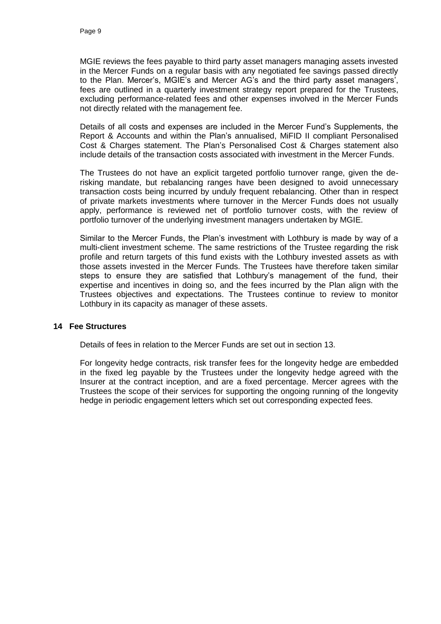MGIE reviews the fees payable to third party asset managers managing assets invested in the Mercer Funds on a regular basis with any negotiated fee savings passed directly to the Plan. Mercer's, MGIE's and Mercer AG's and the third party asset managers', fees are outlined in a quarterly investment strategy report prepared for the Trustees, excluding performance-related fees and other expenses involved in the Mercer Funds not directly related with the management fee.

Details of all costs and expenses are included in the Mercer Fund's Supplements, the Report & Accounts and within the Plan's annualised, MiFID II compliant Personalised Cost & Charges statement. The Plan's Personalised Cost & Charges statement also include details of the transaction costs associated with investment in the Mercer Funds.

The Trustees do not have an explicit targeted portfolio turnover range, given the derisking mandate, but rebalancing ranges have been designed to avoid unnecessary transaction costs being incurred by unduly frequent rebalancing. Other than in respect of private markets investments where turnover in the Mercer Funds does not usually apply, performance is reviewed net of portfolio turnover costs, with the review of portfolio turnover of the underlying investment managers undertaken by MGIE.

Similar to the Mercer Funds, the Plan's investment with Lothbury is made by way of a multi-client investment scheme. The same restrictions of the Trustee regarding the risk profile and return targets of this fund exists with the Lothbury invested assets as with those assets invested in the Mercer Funds. The Trustees have therefore taken similar steps to ensure they are satisfied that Lothbury's management of the fund, their expertise and incentives in doing so, and the fees incurred by the Plan align with the Trustees objectives and expectations. The Trustees continue to review to monitor Lothbury in its capacity as manager of these assets.

#### **14 Fee Structures**

Details of fees in relation to the Mercer Funds are set out in section 13.

For longevity hedge contracts, risk transfer fees for the longevity hedge are embedded in the fixed leg payable by the Trustees under the longevity hedge agreed with the Insurer at the contract inception, and are a fixed percentage. Mercer agrees with the Trustees the scope of their services for supporting the ongoing running of the longevity hedge in periodic engagement letters which set out corresponding expected fees.